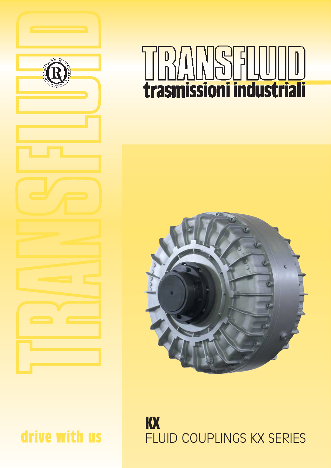

# $\frac{1}{2}$ <u>U UULAJUNUU LUULUUU</u>



# **KX** FLUID COUPLINGS KX SERIES

# drive with us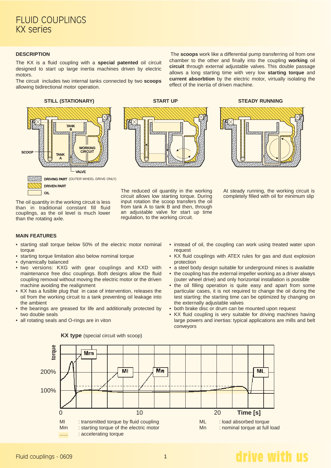### FLUID COUPLINGS KX series

#### **DESCRIPTION**

The KX is a fluid coupling with a **special patented** oil circuit designed to start up large inertia machines driven by electric motors.

The circuit includes two internal tanks connected by two **scoops** allowing bidirectional motor operation.



The oil quantity in the working circuit is less than in traditional constant fill fluid couplings, as the oil level is much lower than the rotating axle.



The reduced oil quantity in the working circuit allows low starting torque. During input rotation the scoop transfers the oil from tank A to tank B and then, through an adjustable valve for start up time regulation, to the working circuit.

The **scoops** work like a differential pump transferring oil from one chamber to the other and finally into the coupling **working** oil **circuit** through external adjustable valves. This double passage allows a long starting time with very low **starting torque** and **current absorbtion** by the electric motor, virtually isolating the effect of the inertia of driven machine.



At steady running, the working circuit is completely filled with oil for minimum slip

#### **MAIN FEATURES**

- starting stall torque below 50% of the electric motor nominal torque
- starting torque limitation also below nominal torque
- dynamically balanced
- two versions: KXG with gear couplings and KXD with maintenance free disc couplings. Both designs allow the fluid coupling removal without moving the electric motor or the driven machine avoiding the realignment
- KX has a fusible plug that in case of intervention, releases the oil from the working circuit to a tank preventing oil leakage into the ambient
- the bearings are greased for life and additionally protected by two double seals
- all rotating seals and O-rings are in viton
- instead of oil, the coupling can work using treated water upon request
- KX fluid couplings with ATEX rules for gas and dust explosion protection
- a steel body design suitable for underground mines is available
- the coupling has the external impeller working as a driver always (outer wheel drive) and only horizontal installation is possible
- the oil filling operation is quite easy and apart from some particular cases, it is not required to change the oil during the test starting: the starting time can be optimized by changing on the externally adjustable valves
- both brake disc or drum can be mounted upon request
- KX fluid coupling is very suitable for driving machines having large powers and inertias: typical applications are mills and belt conveyors



#### **KX type** (special circuit with scoop)

## drive with us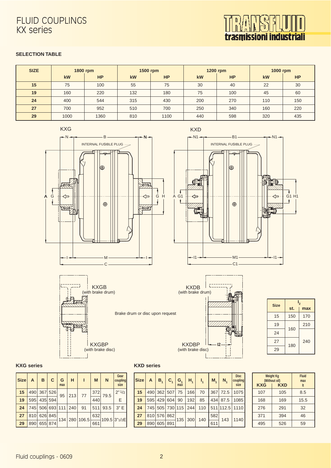### FLUID COUPLINGS KX series



#### **SELECTION TABLE**

| <b>SIZE</b> | 1800 rpm |           | 1500 rpm |           | <b>1200 rpm</b> |           | 1000 rpm |           |
|-------------|----------|-----------|----------|-----------|-----------------|-----------|----------|-----------|
|             | kW       | <b>HP</b> | kW       | <b>HP</b> | kW              | <b>HP</b> | kW       | <b>HP</b> |
| 15          | 75       | 100       | 55       | 75        | 30              | 40        | 22       | 30        |
| 19          | 160      | 220       | 132      | 180       | 75              | 100       | 45       | 60        |
| 24          | 400      | 544       | 315      | 430       | 200             | 270       | 110      | 150       |
| 27          | 700      | 952       | 510      | 700       | 250             | 340       | 160      | 220       |
| 29          | 1000     | 1360      | 810      | 1100      | 440             | 598       | 320      | 435       |









| <b>Size</b> | $I_{2}$ |     |  |  |  |
|-------------|---------|-----|--|--|--|
|             | st.     | max |  |  |  |
| 15          | 150     | 170 |  |  |  |
| 19          |         | 210 |  |  |  |
| 24          | 160     |     |  |  |  |
| 27          | 180     | 240 |  |  |  |
| 29          |         |     |  |  |  |

#### **KXG series**

| <b>Size</b> | $\mathsf{A}$ | в                   | C.      | G<br>max | н   | П             | M   | N    | Gear<br>coupling<br>size |
|-------------|--------------|---------------------|---------|----------|-----|---------------|-----|------|--------------------------|
| 15          |              | 490 367 526         |         | 95       | 213 | 77            | 372 | 79.5 | 2"1/2                    |
| 19          | 595          |                     | 435 594 |          |     |               | 440 |      | F                        |
| 24          |              | 745 506 693 111 240 |         |          |     | 91            | 511 | 93.5 | 3"E                      |
| 27          | 810          |                     | 626 845 |          |     | 134 280 106.5 | 632 |      | 109.5 3"1/2E             |
| 29          | 890          |                     | 655 874 |          |     |               | 661 |      |                          |

#### **KXD series**

|                |             | max |                    | Size $A \mid B_1 \mid C_1 \mid G_1 \mid H_1 \mid I_1$ | $\vert M_1 \vert$ | $N_1$                                  | <b>Disc</b><br>coupling<br>size |
|----------------|-------------|-----|--------------------|-------------------------------------------------------|-------------------|----------------------------------------|---------------------------------|
| $\vert$ 15     |             |     | 490 362 507 75 166 | 70                                                    |                   | 367 72.5 1075                          |                                 |
| $\vert$ 19     |             |     |                    | 595 429 604 90 192 85                                 |                   | 434 87.5 1085                          |                                 |
| $\frac{24}{ }$ |             |     |                    |                                                       |                   | 745 505 730 115 244 110 511 112.5 1110 |                                 |
| $\sqrt{27}$    | 810 576 862 |     | 135   300          | 140                                                   | 582               | 143                                    | 1140                            |
| $\vert$ 29     | 890 605 891 |     |                    |                                                       | $\overline{611}$  |                                        |                                 |

| C<br>ing<br>e   |     | <b>KXG</b> | <b>Weight Kg</b><br>(Without oil)<br><b>KXD</b> | <b>Fluid</b><br>max<br>It |
|-----------------|-----|------------|-------------------------------------------------|---------------------------|
| $5^{\circ}$     |     | 107        | 105                                             | 8.5                       |
| 35 <sub>5</sub> |     | 168        | 169                                             | 15.5                      |
| $\overline{0}$  |     | 276        | 291                                             | 32                        |
| IO              | 371 | 394        | 46                                              |                           |
|                 | 495 | 526        | 59                                              |                           |